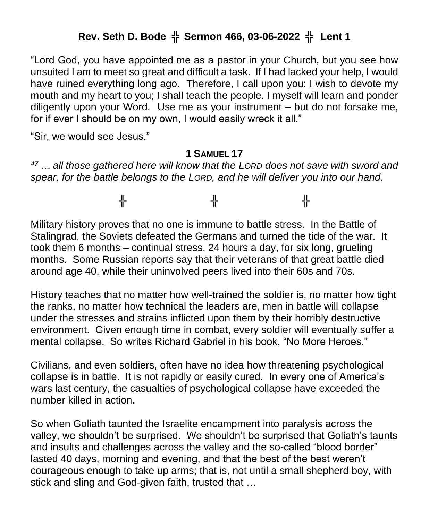## **Rev. Seth D. Bode** ╬ **Sermon 466, 03-06-2022** ╬ **Lent 1**

"Lord God, you have appointed me as a pastor in your Church, but you see how unsuited I am to meet so great and difficult a task. If I had lacked your help, I would have ruined everything long ago. Therefore, I call upon you: I wish to devote my mouth and my heart to you; I shall teach the people. I myself will learn and ponder diligently upon your Word. Use me as your instrument – but do not forsake me, for if ever I should be on my own, I would easily wreck it all."

"Sir, we would see Jesus."

## **1 SAMUEL 17**

*<sup>47</sup> … all those gathered here will know that the LORD does not save with sword and spear, for the battle belongs to the LORD, and he will deliver you into our hand.*

╬ ╬ ╬

Military history proves that no one is immune to battle stress. In the Battle of Stalingrad, the Soviets defeated the Germans and turned the tide of the war. It took them 6 months – continual stress, 24 hours a day, for six long, grueling months. Some Russian reports say that their veterans of that great battle died around age 40, while their uninvolved peers lived into their 60s and 70s.

History teaches that no matter how well-trained the soldier is, no matter how tight the ranks, no matter how technical the leaders are, men in battle will collapse under the stresses and strains inflicted upon them by their horribly destructive environment. Given enough time in combat, every soldier will eventually suffer a mental collapse. So writes Richard Gabriel in his book, "No More Heroes."

Civilians, and even soldiers, often have no idea how threatening psychological collapse is in battle. It is not rapidly or easily cured. In every one of America's wars last century, the casualties of psychological collapse have exceeded the number killed in action.

So when Goliath taunted the Israelite encampment into paralysis across the valley, we shouldn't be surprised. We shouldn't be surprised that Goliath's taunts and insults and challenges across the valley and the so-called "blood border" lasted 40 days, morning and evening, and that the best of the best weren't courageous enough to take up arms; that is, not until a small shepherd boy, with stick and sling and God-given faith, trusted that …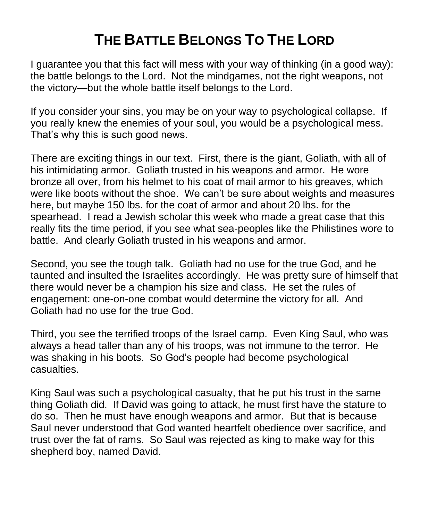## **THE BATTLE BELONGS TO THE LORD**

I guarantee you that this fact will mess with your way of thinking (in a good way): the battle belongs to the Lord. Not the mindgames, not the right weapons, not the victory—but the whole battle itself belongs to the Lord.

If you consider your sins, you may be on your way to psychological collapse. If you really knew the enemies of your soul, you would be a psychological mess. That's why this is such good news.

There are exciting things in our text. First, there is the giant, Goliath, with all of his intimidating armor. Goliath trusted in his weapons and armor. He wore bronze all over, from his helmet to his coat of mail armor to his greaves, which were like boots without the shoe. We can't be sure about weights and measures here, but maybe 150 lbs. for the coat of armor and about 20 lbs. for the spearhead. I read a Jewish scholar this week who made a great case that this really fits the time period, if you see what sea-peoples like the Philistines wore to battle. And clearly Goliath trusted in his weapons and armor.

Second, you see the tough talk. Goliath had no use for the true God, and he taunted and insulted the Israelites accordingly. He was pretty sure of himself that there would never be a champion his size and class. He set the rules of engagement: one-on-one combat would determine the victory for all. And Goliath had no use for the true God.

Third, you see the terrified troops of the Israel camp. Even King Saul, who was always a head taller than any of his troops, was not immune to the terror. He was shaking in his boots. So God's people had become psychological casualties.

King Saul was such a psychological casualty, that he put his trust in the same thing Goliath did. If David was going to attack, he must first have the stature to do so. Then he must have enough weapons and armor. But that is because Saul never understood that God wanted heartfelt obedience over sacrifice, and trust over the fat of rams. So Saul was rejected as king to make way for this shepherd boy, named David.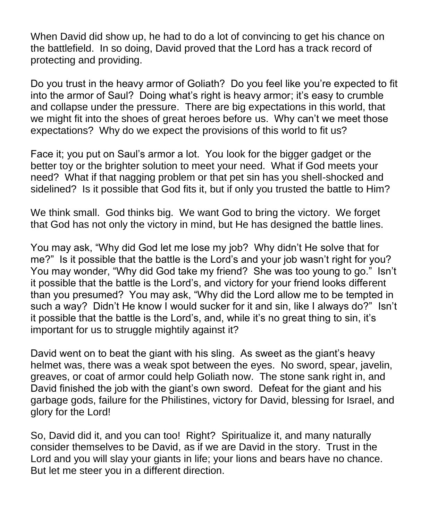When David did show up, he had to do a lot of convincing to get his chance on the battlefield. In so doing, David proved that the Lord has a track record of protecting and providing.

Do you trust in the heavy armor of Goliath? Do you feel like you're expected to fit into the armor of Saul? Doing what's right is heavy armor; it's easy to crumble and collapse under the pressure. There are big expectations in this world, that we might fit into the shoes of great heroes before us. Why can't we meet those expectations? Why do we expect the provisions of this world to fit us?

Face it; you put on Saul's armor a lot. You look for the bigger gadget or the better toy or the brighter solution to meet your need. What if God meets your need? What if that nagging problem or that pet sin has you shell-shocked and sidelined? Is it possible that God fits it, but if only you trusted the battle to Him?

We think small. God thinks big. We want God to bring the victory. We forget that God has not only the victory in mind, but He has designed the battle lines.

You may ask, "Why did God let me lose my job? Why didn't He solve that for me?" Is it possible that the battle is the Lord's and your job wasn't right for you? You may wonder, "Why did God take my friend? She was too young to go." Isn't it possible that the battle is the Lord's, and victory for your friend looks different than you presumed? You may ask, "Why did the Lord allow me to be tempted in such a way? Didn't He know I would sucker for it and sin, like I always do?" Isn't it possible that the battle is the Lord's, and, while it's no great thing to sin, it's important for us to struggle mightily against it?

David went on to beat the giant with his sling. As sweet as the giant's heavy helmet was, there was a weak spot between the eyes. No sword, spear, javelin, greaves, or coat of armor could help Goliath now. The stone sank right in, and David finished the job with the giant's own sword. Defeat for the giant and his garbage gods, failure for the Philistines, victory for David, blessing for Israel, and glory for the Lord!

So, David did it, and you can too! Right? Spiritualize it, and many naturally consider themselves to be David, as if we are David in the story. Trust in the Lord and you will slay your giants in life; your lions and bears have no chance. But let me steer you in a different direction.